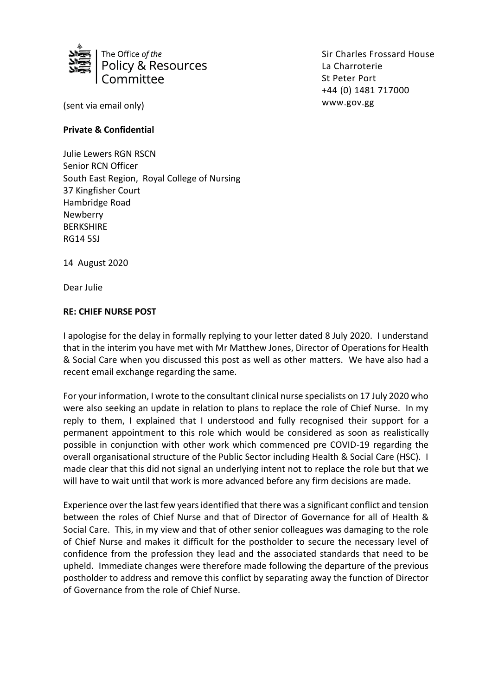

Sir Charles Frossard House La Charroterie St Peter Port +44 (0) 1481 717000 www.gov.gg

(sent via email only)

## **Private & Confidential**

Julie Lewers RGN RSCN Senior RCN Officer South East Region, Royal College of Nursing 37 Kingfisher Court Hambridge Road Newberry BERKSHIRE RG14 5SJ

14 August 2020

Dear Julie

## **RE: CHIEF NURSE POST**

I apologise for the delay in formally replying to your letter dated 8 July 2020. I understand that in the interim you have met with Mr Matthew Jones, Director of Operations for Health & Social Care when you discussed this post as well as other matters. We have also had a recent email exchange regarding the same.

For your information, I wrote to the consultant clinical nurse specialists on 17 July 2020 who were also seeking an update in relation to plans to replace the role of Chief Nurse. In my reply to them, I explained that I understood and fully recognised their support for a permanent appointment to this role which would be considered as soon as realistically possible in conjunction with other work which commenced pre COVID-19 regarding the overall organisational structure of the Public Sector including Health & Social Care (HSC). I made clear that this did not signal an underlying intent not to replace the role but that we will have to wait until that work is more advanced before any firm decisions are made.

Experience over the last few years identified that there was a significant conflict and tension between the roles of Chief Nurse and that of Director of Governance for all of Health & Social Care. This, in my view and that of other senior colleagues was damaging to the role of Chief Nurse and makes it difficult for the postholder to secure the necessary level of confidence from the profession they lead and the associated standards that need to be upheld. Immediate changes were therefore made following the departure of the previous postholder to address and remove this conflict by separating away the function of Director of Governance from the role of Chief Nurse.